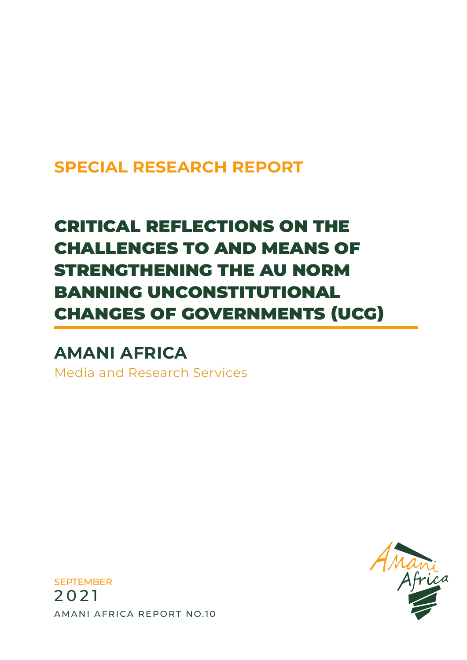## **SPECIAL RESEARCH REPORT**

# CRITICAL REFLECTIONS ON THE CHALLENGES TO AND MEANS OF STRENGTHENING THE AU NORM BANNING UNCONSTITUTIONAL CHANGES OF GOVERNMENTS (UCG)

## **AMANI AFRICA**

Media and Research Services



**SEPTEMBER** 2021 AMANI AFRICA REPORT NO.10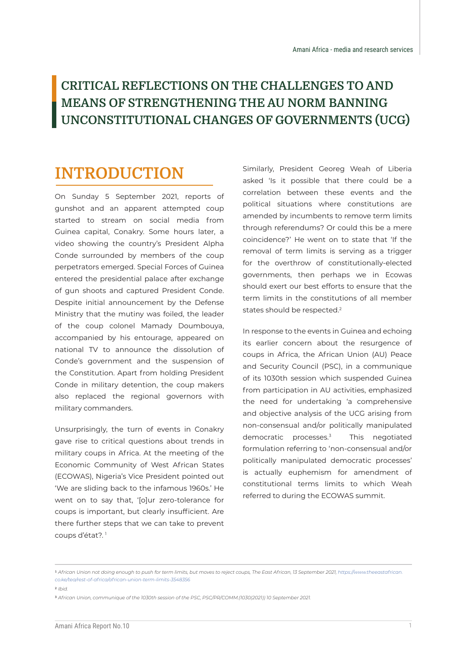### **CRITICAL REFLECTIONS ON THE CHALLENGES TO AND MEANS OF STRENGTHENING THE AU NORM BANNING UNCONSTITUTIONAL CHANGES OF GOVERNMENTS (UCG)**

## **INTRODUCTION**

On Sunday 5 September 2021, reports of gunshot and an apparent attempted coup started to stream on social media from Guinea capital, Conakry. Some hours later, a video showing the country's President Alpha Conde surrounded by members of the coup perpetrators emerged. Special Forces of Guinea entered the presidential palace after exchange of gun shoots and captured President Conde. Despite initial announcement by the Defense Ministry that the mutiny was foiled, the leader of the coup colonel Mamady Doumbouya, accompanied by his entourage, appeared on national TV to announce the dissolution of Conde's government and the suspension of the Constitution. Apart from holding President Conde in military detention, the coup makers also replaced the regional governors with military commanders.

Unsurprisingly, the turn of events in Conakry gave rise to critical questions about trends in military coups in Africa. At the meeting of the Economic Community of West African States (ECOWAS), Nigeria's Vice President pointed out 'We are sliding back to the infamous 1960s.' He went on to say that, '[o]ur zero-tolerance for coups is important, but clearly insufficient. Are there further steps that we can take to prevent coups d'état?. 1

Similarly, President Georeg Weah of Liberia asked 'Is it possible that there could be a correlation between these events and the political situations where constitutions are amended by incumbents to remove term limits through referendums? Or could this be a mere coincidence?' He went on to state that 'If the removal of term limits is serving as a trigger for the overthrow of constitutionally-elected governments, then perhaps we in Ecowas should exert our best efforts to ensure that the term limits in the constitutions of all member states should be respected.<sup>2</sup>

In response to the events in Guinea and echoing its earlier concern about the resurgence of coups in Africa, the African Union (AU) Peace and Security Council (PSC), in a communique of its 1030th session which suspended Guinea from participation in AU activities, emphasized the need for undertaking 'a comprehensive and objective analysis of the UCG arising from non-consensual and/or politically manipulated democratic processes.<sup>3</sup> This negotiated formulation referring to 'non-consensual and/or politically manipulated democratic processes' is actually euphemism for amendment of constitutional terms limits to which Weah referred to during the ECOWAS summit.

2 *Ibid.* 

<sup>1</sup> *African Union not doing enough to push for term limits, but moves to reject coups, The East African, 13 September 2021, https://www.theeastafrican. co.ke/tea/rest-of-africa/african-union-term-limits-3548356* 

<sup>3</sup> *African Union, communique of the 1030th session of the PSC, PSC/PR/COMM.(1030(2021)) 10 September 2021.*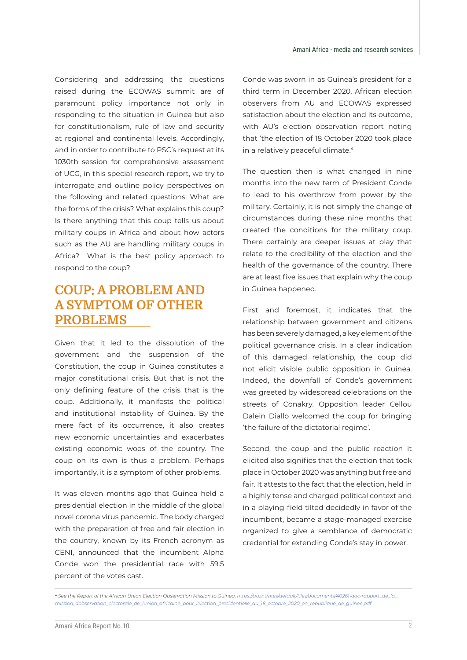Considering and addressing the questions raised during the ECOWAS summit are of paramount policy importance not only in responding to the situation in Guinea but also for constitutionalism, rule of law and security at regional and continental levels. Accordingly, and in order to contribute to PSC's request at its 1030th session for comprehensive assessment of UCG, in this special research report, we try to interrogate and outline policy perspectives on the following and related questions: What are the forms of the crisis? What explains this coup? Is there anything that this coup tells us about military coups in Africa and about how actors such as the AU are handling military coups in Africa? What is the best policy approach to respond to the coup?

### **COUP: A PROBLEM AND A SYMPTOM OF OTHER PROBLEMS**

Given that it led to the dissolution of the government and the suspension of the Constitution, the coup in Guinea constitutes a major constitutional crisis. But that is not the only defining feature of the crisis that is the coup. Additionally, it manifests the political and institutional instability of Guinea. By the mere fact of its occurrence, it also creates new economic uncertainties and exacerbates existing economic woes of the country. The coup on its own is thus a problem. Perhaps importantly, it is a symptom of other problems.

It was eleven months ago that Guinea held a presidential election in the middle of the global novel corona virus pandemic. The body charged with the preparation of free and fair election in the country, known by its French acronym as CENI, announced that the incumbent Alpha Conde won the presidential race with 59.5 percent of the votes cast.

Conde was sworn in as Guinea's president for a third term in December 2020. African election observers from AU and ECOWAS expressed satisfaction about the election and its outcome, with AU's election observation report noting that 'the election of 18 October 2020 took place in a relatively peaceful climate.<sup>4</sup>

The question then is what changed in nine months into the new term of President Conde to lead to his overthrow from power by the military. Certainly, it is not simply the change of circumstances during these nine months that created the conditions for the military coup. There certainly are deeper issues at play that relate to the credibility of the election and the health of the governance of the country. There are at least five issues that explain why the coup in Guinea happened.

First and foremost, it indicates that the relationship between government and citizens has been severely damaged, a key element of the political governance crisis. In a clear indication of this damaged relationship, the coup did not elicit visible public opposition in Guinea. Indeed, the downfall of Conde's government was greeted by widespread celebrations on the streets of Conakry. Opposition leader Cellou Dalein Diallo welcomed the coup for bringing 'the failure of the dictatorial regime'.

Second, the coup and the public reaction it elicited also signifies that the election that took place in October 2020 was anything but free and fair. It attests to the fact that the election, held in a highly tense and charged political context and in a playing-field tilted decidedly in favor of the incumbent, became a stage-managed exercise organized to give a semblance of democratic credential for extending Conde's stay in power.

<sup>4</sup> *See the Report of the African Union Election Observation Mission to Guinea, https://au.int/sites/default/files/documents/40261-doc-rapport\_de\_la\_ mission\_dobservation\_electorale\_de\_lunion\_africaine\_pour\_lelection\_presidentielle\_du\_18\_octobre\_2020\_en\_republique\_de\_guinee.pdf*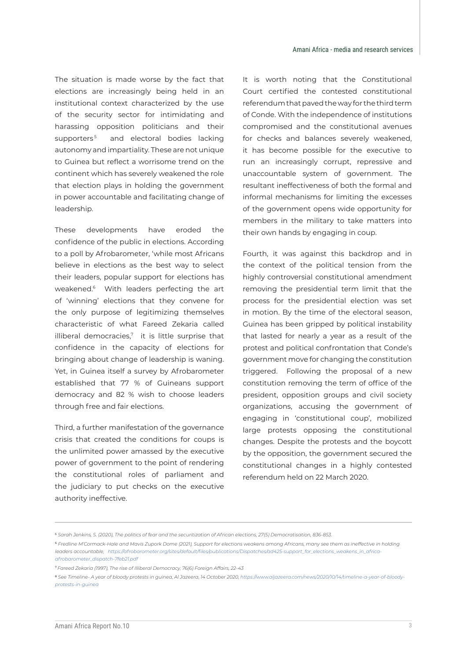The situation is made worse by the fact that elections are increasingly being held in an institutional context characterized by the use of the security sector for intimidating and harassing opposition politicians and their supporters<sup>5</sup> and electoral bodies lacking autonomy and impartiality. These are not unique to Guinea but reflect a worrisome trend on the continent which has severely weakened the role that election plays in holding the government in power accountable and facilitating change of leadership.

These developments have eroded the confidence of the public in elections. According to a poll by Afrobarometer, 'while most Africans believe in elections as the best way to select their leaders, popular support for elections has weakened.<sup>6</sup> With leaders perfecting the art of 'winning' elections that they convene for the only purpose of legitimizing themselves characteristic of what Fareed Zekaria called illiberal democracies, $7$  it is little surprise that confidence in the capacity of elections for bringing about change of leadership is waning. Yet, in Guinea itself a survey by Afrobarometer established that 77 % of Guineans support democracy and 82 % wish to choose leaders through free and fair elections.

Third, a further manifestation of the governance crisis that created the conditions for coups is the unlimited power amassed by the executive power of government to the point of rendering the constitutional roles of parliament and the judiciary to put checks on the executive authority ineffective.

It is worth noting that the Constitutional Court certified the contested constitutional referendum that paved the way for the third term of Conde. With the independence of institutions compromised and the constitutional avenues for checks and balances severely weakened, it has become possible for the executive to run an increasingly corrupt, repressive and unaccountable system of government. The resultant ineffectiveness of both the formal and informal mechanisms for limiting the excesses of the government opens wide opportunity for members in the military to take matters into their own hands by engaging in coup.

Fourth, it was against this backdrop and in the context of the political tension from the highly controversial constitutional amendment removing the presidential term limit that the process for the presidential election was set in motion. By the time of the electoral season, Guinea has been gripped by political instability that lasted for nearly a year as a result of the protest and political confrontation that Conde's government move for changing the constitution triggered. Following the proposal of a new constitution removing the term of office of the president, opposition groups and civil society organizations, accusing the government of engaging in 'constitutional coup', mobilized large protests opposing the constitutional changes. Despite the protests and the boycott by the opposition, the government secured the constitutional changes in a highly contested referendum held on 22 March 2020.

<sup>5</sup> *Sarah Jenkins, S. (2020), The politics of fear and the securitization of African elections, 27(5) Democratisation, 836-853.* 

<sup>6</sup> *Fredline M'Cormack-Hale and Mavis Zupork Dome (2021), Support for elections weakens among Africans, many see them as ineffective in holding leaders accountable, https://afrobarometer.org/sites/default/files/publications/Dispatches/ad425-support\_for\_elections\_weakens\_in\_africaafrobarometer\_dispatch-7feb21.pdf* 

<sup>7</sup>*Fareed Zekaria (1997), The rise of Illiberal Democracy, 76(6) Foreign Affairs, 22-43*

<sup>8</sup> *See Timeline- A year of bloody protests in guinea, Al Jazeera, 14 October 2020, https://www.aljazeera.com/news/2020/10/14/timeline-a-year-of-bloodyprotests-in-guinea*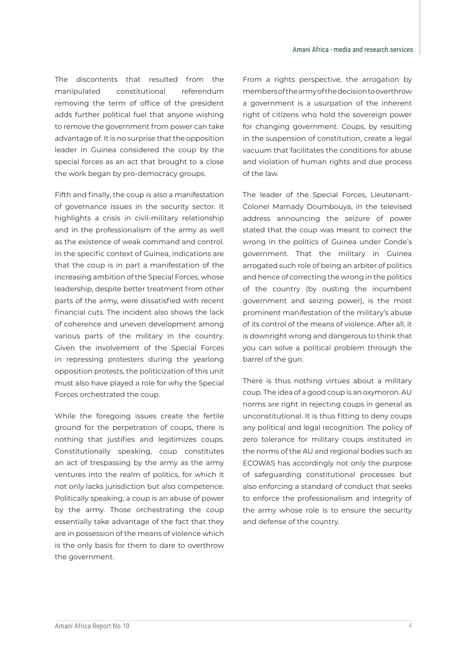The discontents that resulted from the manipulated constitutional referendum removing the term of office of the president adds further political fuel that anyone wishing to remove the government from power can take advantage of. It is no surprise that the opposition leader in Guinea considered the coup by the special forces as an act that brought to a close the work began by pro-democracy groups.

Fifth and finally, the coup is also a manifestation of governance issues in the security sector. It highlights a crisis in civil-military relationship and in the professionalism of the army as well as the existence of weak command and control. In the specific context of Guinea, indications are that the coup is in part a manifestation of the increasing ambition of the Special Forces, whose leadership, despite better treatment from other parts of the army, were dissatisfied with recent financial cuts. The incident also shows the lack of coherence and uneven development among various parts of the military in the country. Given the involvement of the Special Forces in repressing protesters during the yearlong opposition protests, the politicization of this unit must also have played a role for why the Special Forces orchestrated the coup.

While the foregoing issues create the fertile ground for the perpetration of coups, there is nothing that justifies and legitimizes coups. Constitutionally speaking, coup constitutes an act of trespassing by the army as the army ventures into the realm of politics, for which it not only lacks jurisdiction but also competence. Politically speaking, a coup is an abuse of power by the army. Those orchestrating the coup essentially take advantage of the fact that they are in possession of the means of violence which is the only basis for them to dare to overthrow the government.

From a rights perspective, the arrogation by members of the army of the decision to overthrow a government is a usurpation of the inherent right of citizens who hold the sovereign power for changing government. Coups, by resulting in the suspension of constitution, create a legal vacuum that facilitates the conditions for abuse and violation of human rights and due process of the law.

The leader of the Special Forces, Lieutenant-Colonel Mamady Doumbouya, in the televised address announcing the seizure of power stated that the coup was meant to correct the wrong in the politics of Guinea under Conde's government. That the military in Guinea arrogated such role of being an arbiter of politics and hence of correcting the wrong in the politics of the country (by ousting the incumbent government and seizing power), is the most prominent manifestation of the military's abuse of its control of the means of violence. After all, it is downright wrong and dangerous to think that you can solve a political problem through the barrel of the gun.

There is thus nothing virtues about a military coup. The idea of a good coup is an oxymoron. AU norms are right in rejecting coups in general as unconstitutional. It is thus fitting to deny coups any political and legal recognition. The policy of zero tolerance for military coups instituted in the norms of the AU and regional bodies such as ECOWAS has accordingly not only the purpose of safeguarding constitutional processes but also enforcing a standard of conduct that seeks to enforce the professionalism and integrity of the army whose role is to ensure the security and defense of the country.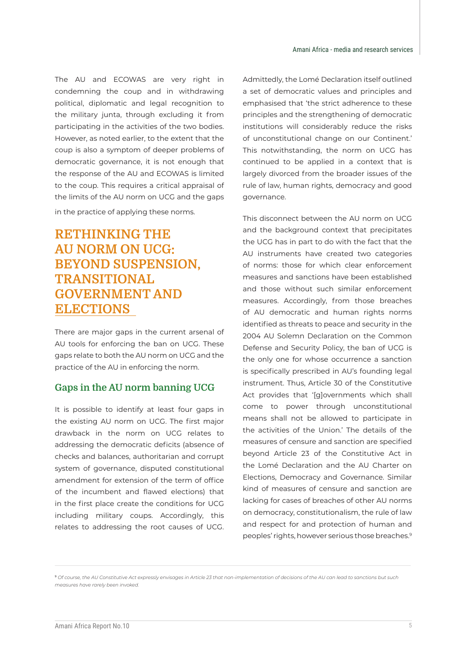The AU and ECOWAS are very right in condemning the coup and in withdrawing political, diplomatic and legal recognition to the military junta, through excluding it from participating in the activities of the two bodies. However, as noted earlier, to the extent that the coup is also a symptom of deeper problems of democratic governance, it is not enough that the response of the AU and ECOWAS is limited to the coup. This requires a critical appraisal of the limits of the AU norm on UCG and the gaps in the practice of applying these norms.

### **RETHINKING THE AU NORM ON UCG: BEYOND SUSPENSION, TRANSITIONAL GOVERNMENT AND ELECTIONS**

There are major gaps in the current arsenal of AU tools for enforcing the ban on UCG. These gaps relate to both the AU norm on UCG and the practice of the AU in enforcing the norm.

#### **Gaps in the AU norm banning UCG**

It is possible to identify at least four gaps in the existing AU norm on UCG. The first major drawback in the norm on UCG relates to addressing the democratic deficits (absence of checks and balances, authoritarian and corrupt system of governance, disputed constitutional amendment for extension of the term of office of the incumbent and flawed elections) that in the first place create the conditions for UCG including military coups. Accordingly, this relates to addressing the root causes of UCG.

Admittedly, the Lomé Declaration itself outlined a set of democratic values and principles and emphasised that 'the strict adherence to these principles and the strengthening of democratic institutions will considerably reduce the risks of unconstitutional change on our Continent.' This notwithstanding, the norm on UCG has continued to be applied in a context that is largely divorced from the broader issues of the rule of law, human rights, democracy and good governance.

This disconnect between the AU norm on UCG and the background context that precipitates the UCG has in part to do with the fact that the AU instruments have created two categories of norms: those for which clear enforcement measures and sanctions have been established and those without such similar enforcement measures. Accordingly, from those breaches of AU democratic and human rights norms identified as threats to peace and security in the 2004 AU Solemn Declaration on the Common Defense and Security Policy, the ban of UCG is the only one for whose occurrence a sanction is specifically prescribed in AU's founding legal instrument. Thus, Article 30 of the Constitutive Act provides that '[g]overnments which shall come to power through unconstitutional means shall not be allowed to participate in the activities of the Union.' The details of the measures of censure and sanction are specified beyond Article 23 of the Constitutive Act in the Lomé Declaration and the AU Charter on Elections, Democracy and Governance. Similar kind of measures of censure and sanction are lacking for cases of breaches of other AU norms on democracy, constitutionalism, the rule of law and respect for and protection of human and peoples' rights, however serious those breaches.9

<sup>9</sup> *Of course, the AU Constitutive Act expressly envisages in Article 23 that non-implementation of decisions of the AU can lead to sanctions but such measures have rarely been invoked.*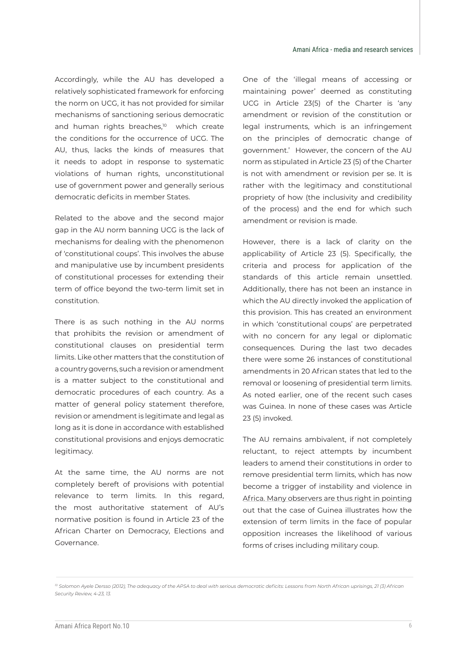Accordingly, while the AU has developed a relatively sophisticated framework for enforcing the norm on UCG, it has not provided for similar mechanisms of sanctioning serious democratic and human rights breaches,<sup>10</sup> which create the conditions for the occurrence of UCG. The AU, thus, lacks the kinds of measures that it needs to adopt in response to systematic violations of human rights, unconstitutional use of government power and generally serious democratic deficits in member States.

Related to the above and the second major gap in the AU norm banning UCG is the lack of mechanisms for dealing with the phenomenon of 'constitutional coups'. This involves the abuse and manipulative use by incumbent presidents of constitutional processes for extending their term of office beyond the two-term limit set in constitution.

There is as such nothing in the AU norms that prohibits the revision or amendment of constitutional clauses on presidential term limits. Like other matters that the constitution of a country governs, such a revision or amendment is a matter subject to the constitutional and democratic procedures of each country. As a matter of general policy statement therefore, revision or amendment is legitimate and legal as long as it is done in accordance with established constitutional provisions and enjoys democratic legitimacy.

At the same time, the AU norms are not completely bereft of provisions with potential relevance to term limits. In this regard, the most authoritative statement of AU's normative position is found in Article 23 of the African Charter on Democracy, Elections and Governance.

One of the 'illegal means of accessing or maintaining power' deemed as constituting UCG in Article 23(5) of the Charter is 'any amendment or revision of the constitution or legal instruments, which is an infringement on the principles of democratic change of government.' However, the concern of the AU norm as stipulated in Article 23 (5) of the Charter is not with amendment or revision per se. It is rather with the legitimacy and constitutional propriety of how (the inclusivity and credibility of the process) and the end for which such amendment or revision is made.

However, there is a lack of clarity on the applicability of Article 23 (5). Specifically, the criteria and process for application of the standards of this article remain unsettled. Additionally, there has not been an instance in which the AU directly invoked the application of this provision. This has created an environment in which 'constitutional coups' are perpetrated with no concern for any legal or diplomatic consequences. During the last two decades there were some 26 instances of constitutional amendments in 20 African states that led to the removal or loosening of presidential term limits. As noted earlier, one of the recent such cases was Guinea. In none of these cases was Article 23 (5) invoked.

The AU remains ambivalent, if not completely reluctant, to reject attempts by incumbent leaders to amend their constitutions in order to remove presidential term limits, which has now become a trigger of instability and violence in Africa. Many observers are thus right in pointing out that the case of Guinea illustrates how the extension of term limits in the face of popular opposition increases the likelihood of various forms of crises including military coup.

*<sup>10</sup> Solomon Ayele Dersso (2012), The adequacy of the APSA to deal with serious democratic deficits: Lessons from North African uprisings, 21 (3) African Security Review, 4-23, 13.*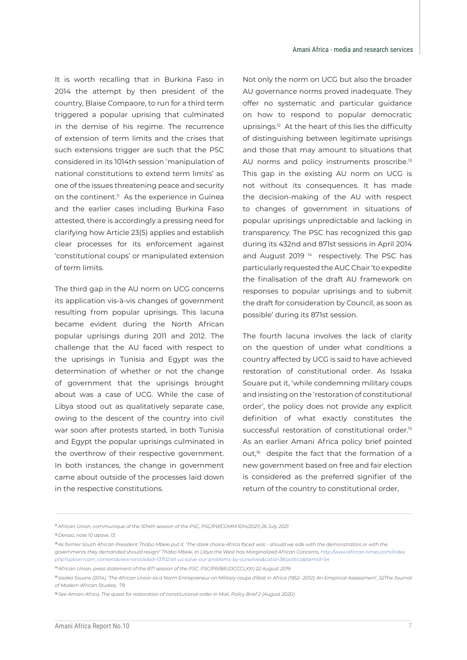It is worth recalling that in Burkina Faso in 2014 the attempt by then president of the country, Blaise Compaore, to run for a third term triggered a popular uprising that culminated in the demise of his regime. The recurrence of extension of term limits and the crises that such extensions trigger are such that the PSC considered in its 1014th session 'manipulation of national constitutions to extend term limits' as one of the issues threatening peace and security on the continent.<sup>11</sup> As the experience in Guinea and the earlier cases including Burkina Faso attested, there is accordingly a pressing need for clarifying how Article 23(5) applies and establish clear processes for its enforcement against 'constitutional coups' or manipulated extension of term limits.

The third gap in the AU norm on UCG concerns its application vis-à-vis changes of government resulting from popular uprisings. This lacuna became evident during the North African popular uprisings during 2011 and 2012. The challenge that the AU faced with respect to the uprisings in Tunisia and Egypt was the determination of whether or not the change of government that the uprisings brought about was a case of UCG. While the case of Libya stood out as qualitatively separate case, owing to the descent of the country into civil war soon after protests started, in both Tunisia and Egypt the popular uprisings culminated in the overthrow of their respective government. In both instances, the change in government came about outside of the processes laid down in the respective constitutions.

Not only the norm on UCG but also the broader AU governance norms proved inadequate. They offer no systematic and particular guidance on how to respond to popular democratic uprisings.<sup>12</sup> At the heart of this lies the difficulty of distinguishing between legitimate uprisings and those that may amount to situations that AU norms and policy instruments proscribe.<sup>13</sup> This gap in the existing AU norm on UCG is not without its consequences. It has made the decision-making of the AU with respect to changes of government in situations of popular uprisings unpredictable and lacking in transparency. The PSC has recognized this gap during its 432nd and 871st sessions in April 2014 and August 2019<sup>14</sup> respectively. The PSC has particularly requested the AUC Chair 'to expedite the finalisation of the draft AU framework on responses to popular uprisings and to submit the draft for consideration by Council, as soon as possible' during its 871st session.

The fourth lacuna involves the lack of clarity on the question of under what conditions a country affected by UCG is said to have achieved restoration of constitutional order. As Issaka Souare put it, 'while condemning military coups and insisting on the 'restoration of constitutional order', the policy does not provide any explicit definition of what exactly constitutes the successful restoration of constitutional order.<sup>15</sup> As an earlier Amani Africa policy brief pointed out,<sup>16</sup> despite the fact that the formation of a new government based on free and fair election is considered as the preferred signifier of the return of the country to constitutional order,

<sup>12</sup>*Dersso, note 10 above, 13.* 

<sup>11</sup> *African Union, communique of the 1014th session of the PSC, PSC/PR/COMM.1014(2021) 26 July 2021.* 

<sup>&</sup>lt;sup>13</sup> As former South African President Thabo Mbeki put it, 'The stark choice Africa faced was - should we side with the demonstrators or with the *governments they demanded should resign!' Thabo Mbeki, In Libya the West has Marginalized African Concerns, http://www.african-times.com/index. php?option=com\_content&view=article&id=13702:let-us-solve-our-problems-by-ourselves&catid=38:politics&Itemid=54* 

<sup>14</sup>*African Union, press statement of the 871 session of the PSC, PSC/PR/BR.(DCCCLXXI) 22 August 2019*

<sup>15</sup>*Issaka Souare (2014), 'The African Union as a Norm Entrepreneur on Military coups d'état in Africa (1952– 2012): An Empirical Assessment', 52The Journal of Modern African Studies, 79.* 

<sup>&</sup>lt;sup>16</sup> See Amani Africa, The quest for restoration of constitutional order in Mali, Policy Brief 2 (August 2020)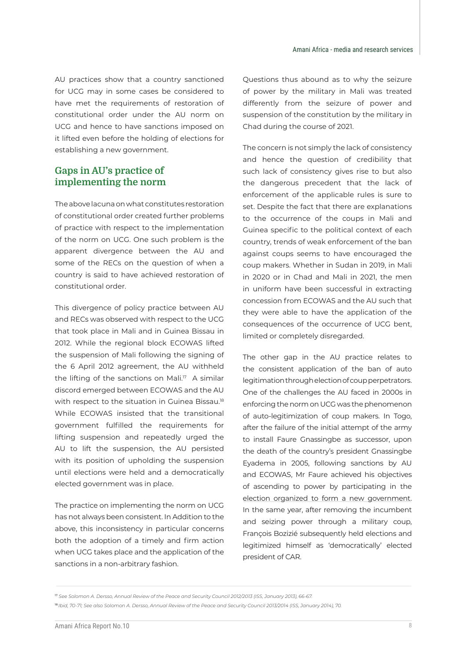AU practices show that a country sanctioned for UCG may in some cases be considered to have met the requirements of restoration of constitutional order under the AU norm on UCG and hence to have sanctions imposed on it lifted even before the holding of elections for establishing a new government.

#### **Gaps in AU's practice of implementing the norm**

The above lacuna on what constitutes restoration of constitutional order created further problems of practice with respect to the implementation of the norm on UCG. One such problem is the apparent divergence between the AU and some of the RECs on the question of when a country is said to have achieved restoration of constitutional order.

This divergence of policy practice between AU and RECs was observed with respect to the UCG that took place in Mali and in Guinea Bissau in 2012. While the regional block ECOWAS lifted the suspension of Mali following the signing of the 6 April 2012 agreement, the AU withheld the lifting of the sanctions on Mali.<sup>17</sup> A similar discord emerged between ECOWAS and the AU with respect to the situation in Guinea Bissau.<sup>18</sup> While ECOWAS insisted that the transitional government fulfilled the requirements for lifting suspension and repeatedly urged the AU to lift the suspension, the AU persisted with its position of upholding the suspension until elections were held and a democratically elected government was in place.

The practice on implementing the norm on UCG has not always been consistent. In Addition to the above, this inconsistency in particular concerns both the adoption of a timely and firm action when UCG takes place and the application of the sanctions in a non-arbitrary fashion.

Questions thus abound as to why the seizure of power by the military in Mali was treated differently from the seizure of power and suspension of the constitution by the military in Chad during the course of 2021.

The concern is not simply the lack of consistency and hence the question of credibility that such lack of consistency gives rise to but also the dangerous precedent that the lack of enforcement of the applicable rules is sure to set. Despite the fact that there are explanations to the occurrence of the coups in Mali and Guinea specific to the political context of each country, trends of weak enforcement of the ban against coups seems to have encouraged the coup makers. Whether in Sudan in 2019, in Mali in 2020 or in Chad and Mali in 2021, the men in uniform have been successful in extracting concession from ECOWAS and the AU such that they were able to have the application of the consequences of the occurrence of UCG bent, limited or completely disregarded.

The other gap in the AU practice relates to the consistent application of the ban of auto legitimation through election of coup perpetrators. One of the challenges the AU faced in 2000s in enforcing the norm on UCG was the phenomenon of auto-legitimization of coup makers. In Togo, after the failure of the initial attempt of the army to install Faure Gnassingbe as successor, upon the death of the country's president Gnassingbe Eyadema in 2005, following sanctions by AU and ECOWAS, Mr Faure achieved his objectives of ascending to power by participating in the election organized to form a new government. In the same year, after removing the incumbent and seizing power through a military coup, François Bozizié subsequently held elections and legitimized himself as 'democratically' elected president of CAR.

<sup>17</sup> *See Solomon A. Dersso, Annual Review of the Peace and Security Council 2012/2013 (ISS, January 2013), 66-67.* 

<sup>&</sup>lt;sup>18</sup> Ibid, 70-71; See also Solomon A. Dersso, Annual Review of the Peace and Security Council 2013/2014 (ISS, January 2014), 70.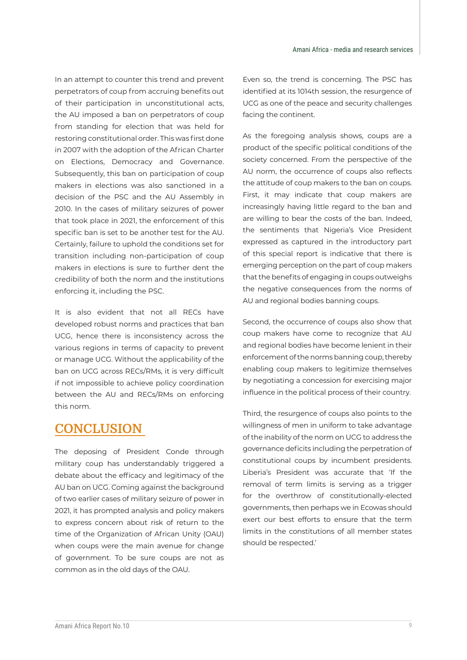In an attempt to counter this trend and prevent perpetrators of coup from accruing benefits out of their participation in unconstitutional acts, the AU imposed a ban on perpetrators of coup from standing for election that was held for restoring constitutional order. This was first done in 2007 with the adoption of the African Charter on Elections, Democracy and Governance. Subsequently, this ban on participation of coup makers in elections was also sanctioned in a decision of the PSC and the AU Assembly in 2010. In the cases of military seizures of power that took place in 2021, the enforcement of this specific ban is set to be another test for the AU. Certainly, failure to uphold the conditions set for transition including non-participation of coup makers in elections is sure to further dent the credibility of both the norm and the institutions enforcing it, including the PSC.

It is also evident that not all RECs have developed robust norms and practices that ban UCG, hence there is inconsistency across the various regions in terms of capacity to prevent or manage UCG. Without the applicability of the ban on UCG across RECs/RMs, it is very difficult if not impossible to achieve policy coordination between the AU and RECs/RMs on enforcing this norm.

### **CONCLUSION**

The deposing of President Conde through military coup has understandably triggered a debate about the efficacy and legitimacy of the AU ban on UCG. Coming against the background of two earlier cases of military seizure of power in 2021, it has prompted analysis and policy makers to express concern about risk of return to the time of the Organization of African Unity (OAU) when coups were the main avenue for change of government. To be sure coups are not as common as in the old days of the OAU.

Even so, the trend is concerning. The PSC has identified at its 1014th session, the resurgence of UCG as one of the peace and security challenges facing the continent.

As the foregoing analysis shows, coups are a product of the specific political conditions of the society concerned. From the perspective of the AU norm, the occurrence of coups also reflects the attitude of coup makers to the ban on coups. First, it may indicate that coup makers are increasingly having little regard to the ban and are willing to bear the costs of the ban. Indeed, the sentiments that Nigeria's Vice President expressed as captured in the introductory part of this special report is indicative that there is emerging perception on the part of coup makers that the benefits of engaging in coups outweighs the negative consequences from the norms of AU and regional bodies banning coups.

Second, the occurrence of coups also show that coup makers have come to recognize that AU and regional bodies have become lenient in their enforcement of the norms banning coup, thereby enabling coup makers to legitimize themselves by negotiating a concession for exercising major influence in the political process of their country.

Third, the resurgence of coups also points to the willingness of men in uniform to take advantage of the inability of the norm on UCG to address the governance deficits including the perpetration of constitutional coups by incumbent presidents. Liberia's President was accurate that 'If the removal of term limits is serving as a trigger for the overthrow of constitutionally-elected governments, then perhaps we in Ecowas should exert our best efforts to ensure that the term limits in the constitutions of all member states should be respected.'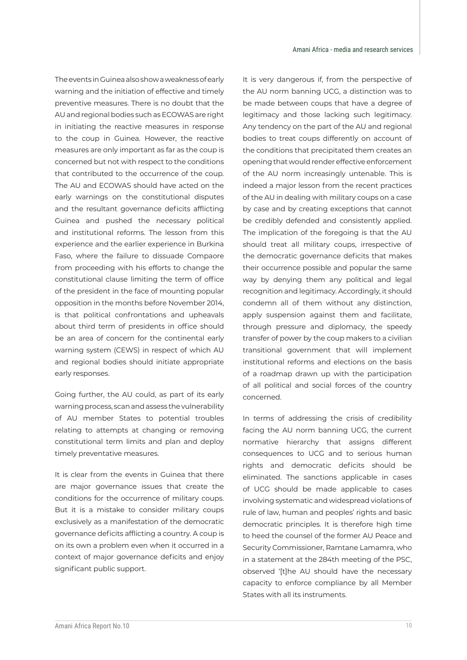The events in Guinea also show a weakness of early warning and the initiation of effective and timely preventive measures. There is no doubt that the AU and regional bodies such as ECOWAS are right in initiating the reactive measures in response to the coup in Guinea. However, the reactive measures are only important as far as the coup is concerned but not with respect to the conditions that contributed to the occurrence of the coup. The AU and ECOWAS should have acted on the early warnings on the constitutional disputes and the resultant governance deficits afflicting Guinea and pushed the necessary political and institutional reforms. The lesson from this experience and the earlier experience in Burkina Faso, where the failure to dissuade Compaore from proceeding with his efforts to change the constitutional clause limiting the term of office of the president in the face of mounting popular opposition in the months before November 2014, is that political confrontations and upheavals about third term of presidents in office should be an area of concern for the continental early warning system (CEWS) in respect of which AU and regional bodies should initiate appropriate early responses.

Going further, the AU could, as part of its early warning process, scan and assess the vulnerability of AU member States to potential troubles relating to attempts at changing or removing constitutional term limits and plan and deploy timely preventative measures.

It is clear from the events in Guinea that there are major governance issues that create the conditions for the occurrence of military coups. But it is a mistake to consider military coups exclusively as a manifestation of the democratic governance deficits afflicting a country. A coup is on its own a problem even when it occurred in a context of major governance deficits and enjoy significant public support.

It is very dangerous if, from the perspective of the AU norm banning UCG, a distinction was to be made between coups that have a degree of legitimacy and those lacking such legitimacy. Any tendency on the part of the AU and regional bodies to treat coups differently on account of the conditions that precipitated them creates an opening that would render effective enforcement of the AU norm increasingly untenable. This is indeed a major lesson from the recent practices of the AU in dealing with military coups on a case by case and by creating exceptions that cannot be credibly defended and consistently applied. The implication of the foregoing is that the AU should treat all military coups, irrespective of the democratic governance deficits that makes their occurrence possible and popular the same way by denying them any political and legal recognition and legitimacy. Accordingly, it should condemn all of them without any distinction, apply suspension against them and facilitate, through pressure and diplomacy, the speedy transfer of power by the coup makers to a civilian transitional government that will implement institutional reforms and elections on the basis of a roadmap drawn up with the participation of all political and social forces of the country concerned.

In terms of addressing the crisis of credibility facing the AU norm banning UCG, the current normative hierarchy that assigns different consequences to UCG and to serious human rights and democratic deficits should be eliminated. The sanctions applicable in cases of UCG should be made applicable to cases involving systematic and widespread violations of rule of law, human and peoples' rights and basic democratic principles. It is therefore high time to heed the counsel of the former AU Peace and Security Commissioner, Ramtane Lamamra, who in a statement at the 284th meeting of the PSC, observed '[t]he AU should have the necessary capacity to enforce compliance by all Member States with all its instruments.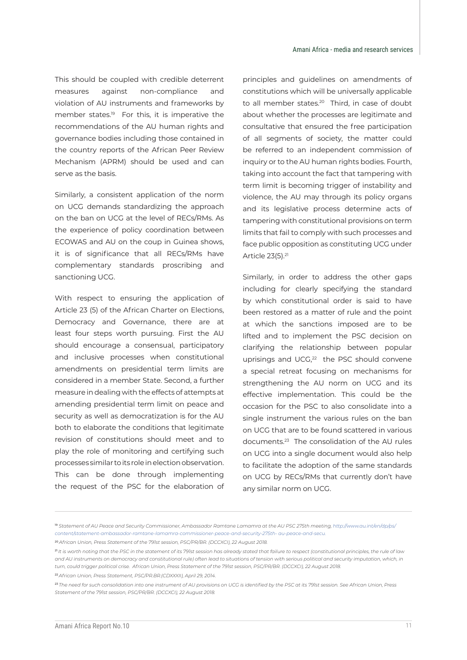This should be coupled with credible deterrent measures against non-compliance and violation of AU instruments and frameworks by member states.19 For this, it is imperative the recommendations of the AU human rights and governance bodies including those contained in the country reports of the African Peer Review Mechanism (APRM) should be used and can serve as the basis.

Similarly, a consistent application of the norm on UCG demands standardizing the approach on the ban on UCG at the level of RECs/RMs. As the experience of policy coordination between ECOWAS and AU on the coup in Guinea shows, it is of significance that all RECs/RMs have complementary standards proscribing and sanctioning UCG.

With respect to ensuring the application of Article 23 (5) of the African Charter on Elections, Democracy and Governance, there are at least four steps worth pursuing. First the AU should encourage a consensual, participatory and inclusive processes when constitutional amendments on presidential term limits are considered in a member State. Second, a further measure in dealing with the effects of attempts at amending presidential term limit on peace and security as well as democratization is for the AU both to elaborate the conditions that legitimate revision of constitutions should meet and to play the role of monitoring and certifying such processes similar to its role in election observation. This can be done through implementing the request of the PSC for the elaboration of principles and guidelines on amendments of constitutions which will be universally applicable to all member states.<sup>20</sup> Third, in case of doubt about whether the processes are legitimate and consultative that ensured the free participation of all segments of society, the matter could be referred to an independent commission of inquiry or to the AU human rights bodies. Fourth, taking into account the fact that tampering with term limit is becoming trigger of instability and violence, the AU may through its policy organs and its legislative process determine acts of tampering with constitutional provisions on term limits that fail to comply with such processes and face public opposition as constituting UCG under Article 23(5).21

Similarly, in order to address the other gaps including for clearly specifying the standard by which constitutional order is said to have been restored as a matter of rule and the point at which the sanctions imposed are to be lifted and to implement the PSC decision on clarifying the relationship between popular uprisings and UCG,<sup>22</sup> the PSC should convene a special retreat focusing on mechanisms for strengthening the AU norm on UCG and its effective implementation. This could be the occasion for the PSC to also consolidate into a single instrument the various rules on the ban on UCG that are to be found scattered in various documents.23 The consolidation of the AU rules on UCG into a single document would also help to facilitate the adoption of the same standards on UCG by RECs/RMs that currently don't have any similar norm on UCG.

<sup>20</sup>*African Union, Press Statement of the 791st session, PSC/PR/BR. (DCCXCI), 22 August 2018.* 

<sup>&</sup>lt;sup>19</sup> Statement of AU Peace and Security Commissioner, Ambassador Ramtane Lamamra at the AU PSC 275th meeting, http://www.au.int/en/dp/ps/ *content/statement-ambassador-ramtane-lamamra-commissioner-peace-and-security-275th- au-peace-and-secu.* 

<sup>21</sup>*It is worth noting that the PSC in the statement of its 791st session has already stated that failure to respect (constitutional principles, the rule of law*  and AU instruments on democracy and constitutional rule) often lead to situations of tension with serious political and security imputation, which, in *turn, could trigger political crise. African Union, Press Statement of the 791st session, PSC/PR/BR. (DCCXCI), 22 August 2018.* 

<sup>22</sup>*African Union, Press Statement, PSC/PR.BR.(CDXXXII), April 29, 2014.*

<sup>23</sup>*The need for such consolidation into one instrument of AU provisions on UCG is identified by the PSC at its 791st session. See African Union, Press Statement of the 791st session, PSC/PR/BR. (DCCXCI), 22 August 2018.*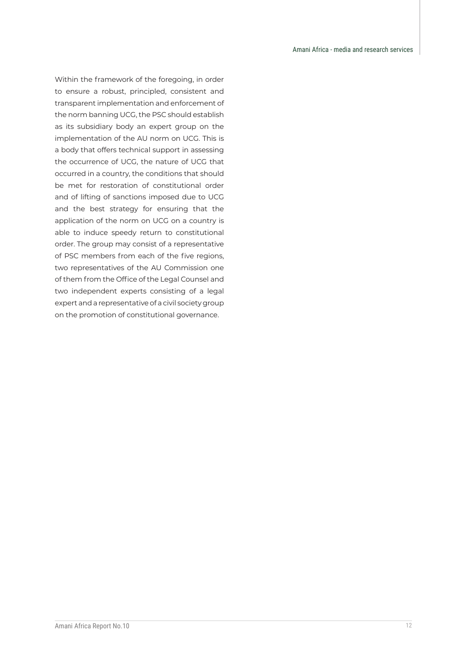Within the framework of the foregoing, in order to ensure a robust, principled, consistent and transparent implementation and enforcement of the norm banning UCG, the PSC should establish as its subsidiary body an expert group on the implementation of the AU norm on UCG. This is a body that offers technical support in assessing the occurrence of UCG, the nature of UCG that occurred in a country, the conditions that should be met for restoration of constitutional order and of lifting of sanctions imposed due to UCG and the best strategy for ensuring that the application of the norm on UCG on a country is able to induce speedy return to constitutional order. The group may consist of a representative of PSC members from each of the five regions, two representatives of the AU Commission one of them from the Office of the Legal Counsel and two independent experts consisting of a legal expert and a representative of a civil society group on the promotion of constitutional governance.